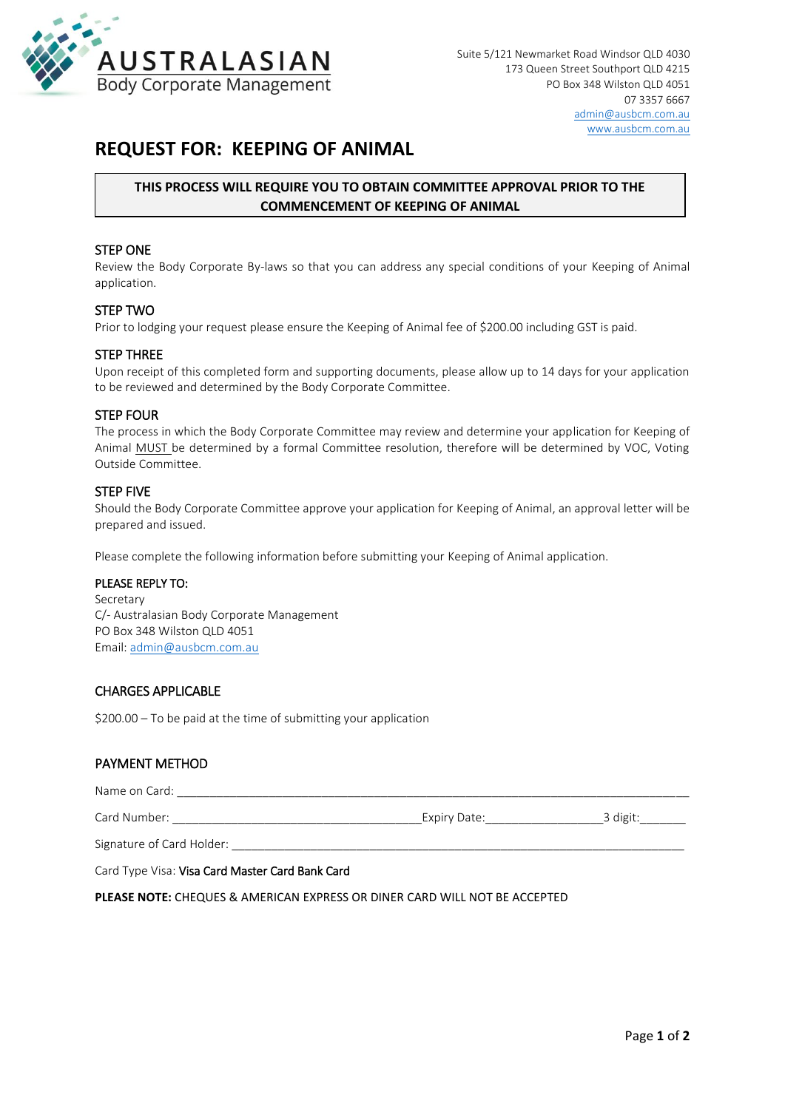

## **REQUEST FOR: KEEPING OF ANIMAL**

## **THIS PROCESS WILL REQUIRE YOU TO OBTAIN COMMITTEE APPROVAL PRIOR TO THE COMMENCEMENT OF KEEPING OF ANIMAL**

#### STEP ONE

Review the Body Corporate By-laws so that you can address any special conditions of your Keeping of Animal application.

#### STEP TWO

Prior to lodging your request please ensure the Keeping of Animal fee of \$200.00 including GST is paid.

#### STEP THREE

Upon receipt of this completed form and supporting documents, please allow up to 14 days for your application to be reviewed and determined by the Body Corporate Committee.

#### STEP FOUR

The process in which the Body Corporate Committee may review and determine your application for Keeping of Animal MUST be determined by a formal Committee resolution, therefore will be determined by VOC, Voting Outside Committee.

#### STEP FIVE

Should the Body Corporate Committee approve your application for Keeping of Animal, an approval letter will be prepared and issued.

Please complete the following information before submitting your Keeping of Animal application.

#### PLEASE REPLY TO:

Secretary C/- Australasian Body Corporate Management PO Box 348 Wilston QLD 4051 Email: [admin@ausbcm.com.au](mailto:admin@ausbcm.com.au)

### CHARGES APPLICABLE

\$200.00 – To be paid at the time of submitting your application

#### PAYMENT METHOD

| Name on Card:             |              |          |
|---------------------------|--------------|----------|
| Card Number:              | Expiry Date: | 3 digit: |
| Signature of Card Holder: |              |          |

Card Type Visa: Visa Card Master Card Bank Card

**PLEASE NOTE:** CHEQUES & AMERICAN EXPRESS OR DINER CARD WILL NOT BE ACCEPTED